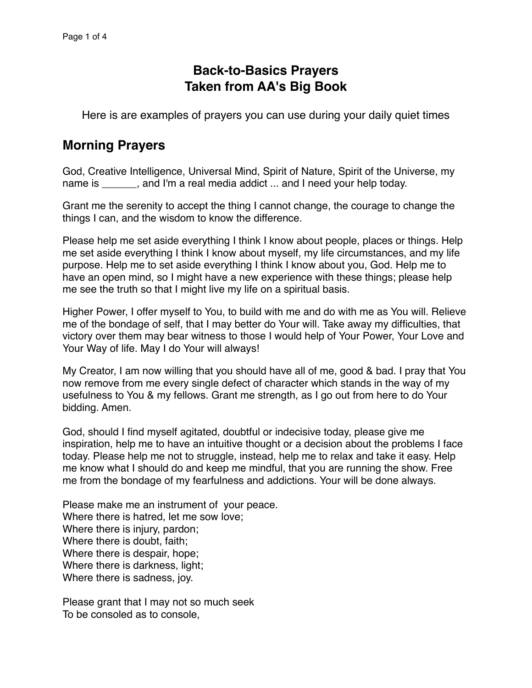# **Back-to-Basics Prayers Taken from AA's Big Book**

Here is are examples of prayers you can use during your daily quiet times

### **Morning Prayers**

God, Creative Intelligence, Universal Mind, Spirit of Nature, Spirit of the Universe, my name is equal in a real media addict ... and I need your help today.

Grant me the serenity to accept the thing I cannot change, the courage to change the things I can, and the wisdom to know the difference.

Please help me set aside everything I think I know about people, places or things. Help me set aside everything I think I know about myself, my life circumstances, and my life purpose. Help me to set aside everything I think I know about you, God. Help me to have an open mind, so I might have a new experience with these things; please help me see the truth so that I might live my life on a spiritual basis.

Higher Power, I offer myself to You, to build with me and do with me as You will. Relieve me of the bondage of self, that I may better do Your will. Take away my difficulties, that victory over them may bear witness to those I would help of Your Power, Your Love and Your Way of life. May I do Your will always!

My Creator, I am now willing that you should have all of me, good & bad. I pray that You now remove from me every single defect of character which stands in the way of my usefulness to You & my fellows. Grant me strength, as I go out from here to do Your bidding. Amen.

God, should I find myself agitated, doubtful or indecisive today, please give me inspiration, help me to have an intuitive thought or a decision about the problems I face today. Please help me not to struggle, instead, help me to relax and take it easy. Help me know what I should do and keep me mindful, that you are running the show. Free me from the bondage of my fearfulness and addictions. Your will be done always.

Please make me an instrument of your peace. Where there is hatred, let me sow love; Where there is injury, pardon; Where there is doubt, faith; Where there is despair, hope; Where there is darkness, light; Where there is sadness, joy.

Please grant that I may not so much seek To be consoled as to console,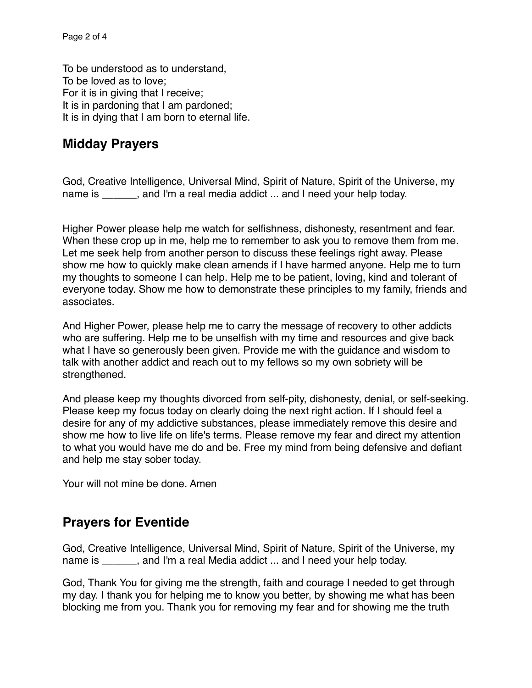To be understood as to understand, To be loved as to love; For it is in giving that I receive; It is in pardoning that I am pardoned; It is in dying that I am born to eternal life.

### **Midday Prayers**

God, Creative Intelligence, Universal Mind, Spirit of Nature, Spirit of the Universe, my name is equal the a real media addict ... and I need your help today.

Higher Power please help me watch for selfishness, dishonesty, resentment and fear. When these crop up in me, help me to remember to ask you to remove them from me. Let me seek help from another person to discuss these feelings right away. Please show me how to quickly make clean amends if I have harmed anyone. Help me to turn my thoughts to someone I can help. Help me to be patient, loving, kind and tolerant of everyone today. Show me how to demonstrate these principles to my family, friends and associates.

And Higher Power, please help me to carry the message of recovery to other addicts who are suffering. Help me to be unselfish with my time and resources and give back what I have so generously been given. Provide me with the guidance and wisdom to talk with another addict and reach out to my fellows so my own sobriety will be strengthened.

And please keep my thoughts divorced from self-pity, dishonesty, denial, or self-seeking. Please keep my focus today on clearly doing the next right action. If I should feel a desire for any of my addictive substances, please immediately remove this desire and show me how to live life on life's terms. Please remove my fear and direct my attention to what you would have me do and be. Free my mind from being defensive and defiant and help me stay sober today.

Your will not mine be done. Amen

## **Prayers for Eventide**

God, Creative Intelligence, Universal Mind, Spirit of Nature, Spirit of the Universe, my name is \_\_\_\_\_\_, and I'm a real Media addict ... and I need your help today.

God, Thank You for giving me the strength, faith and courage I needed to get through my day. I thank you for helping me to know you better, by showing me what has been blocking me from you. Thank you for removing my fear and for showing me the truth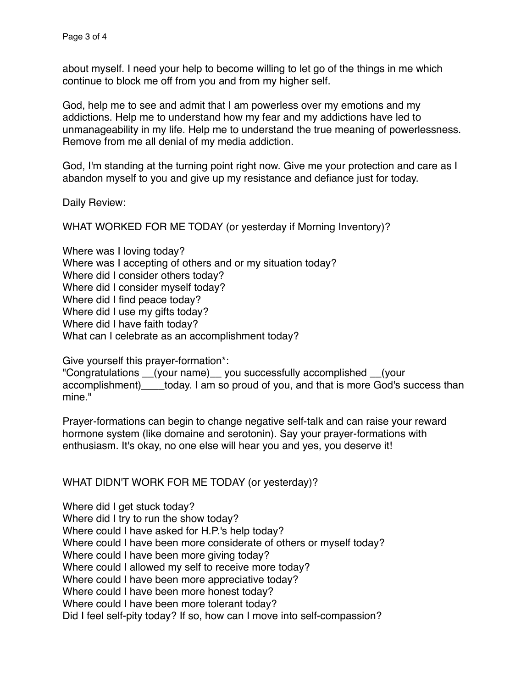about myself. I need your help to become willing to let go of the things in me which continue to block me off from you and from my higher self.

God, help me to see and admit that I am powerless over my emotions and my addictions. Help me to understand how my fear and my addictions have led to unmanageability in my life. Help me to understand the true meaning of powerlessness. Remove from me all denial of my media addiction.

God, I'm standing at the turning point right now. Give me your protection and care as I abandon myself to you and give up my resistance and defiance just for today.

Daily Review:

WHAT WORKED FOR ME TODAY (or yesterday if Morning Inventory)?

Where was I loving today? Where was I accepting of others and or my situation today? Where did I consider others today? Where did I consider myself today? Where did I find peace today? Where did I use my gifts today? Where did I have faith today? What can I celebrate as an accomplishment today?

Give yourself this prayer-formation\*:

"Congratulations \_\_(your name)\_\_ you successfully accomplished \_\_(your accomplishment) today. I am so proud of you, and that is more God's success than mine."

Prayer-formations can begin to change negative self-talk and can raise your reward hormone system (like domaine and serotonin). Say your prayer-formations with enthusiasm. It's okay, no one else will hear you and yes, you deserve it!

#### WHAT DIDN'T WORK FOR ME TODAY (or yesterday)?

Where did I get stuck today? Where did I try to run the show today? Where could I have asked for H.P.'s help today? Where could I have been more considerate of others or myself today? Where could I have been more giving today? Where could I allowed my self to receive more today? Where could I have been more appreciative today? Where could I have been more honest today? Where could I have been more tolerant today? Did I feel self-pity today? If so, how can I move into self-compassion?